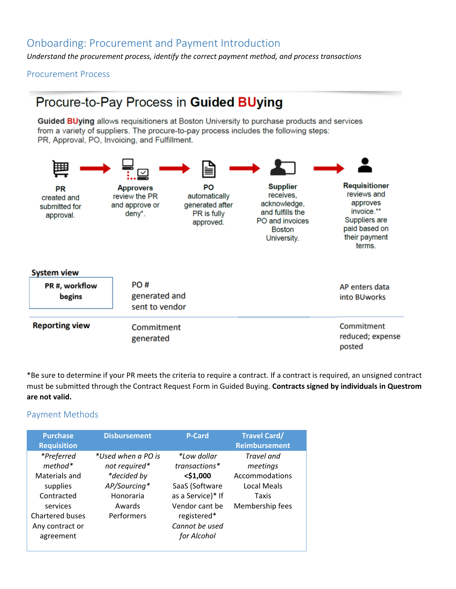# Onboarding: Procurement and Payment Introduction

*Understand the procurement process, identify the correct payment method, and process transactions*

Procurement Process

# Procure-to-Pay Process in Guided BUying

Guided BUying allows requisitioners at Boston University to purchase products and services from a variety of suppliers. The procure-to-pay process includes the following steps: PR. Approval, PO. Invoicing, and Fulfillment.



\*Be sure to determine if your PR meets the criteria to require a contract. If a contract is required, an unsigned contract must be submitted through the Contract Request Form in Guided Buying. **Contracts signed by individuals in Questrom are not valid.** 

### Payment Methods

| <b>Purchase</b><br><b>Requisition</b>                                                                                                    | <b>Disbursement</b>                                                                                     | <b>P-Card</b>                                                                                                                                        | <b>Travel Card/</b><br><b>Reimbursement</b>                                         |
|------------------------------------------------------------------------------------------------------------------------------------------|---------------------------------------------------------------------------------------------------------|------------------------------------------------------------------------------------------------------------------------------------------------------|-------------------------------------------------------------------------------------|
| *Preferred<br>$method*$<br>Materials and<br>supplies<br>Contracted<br>services<br><b>Chartered buses</b><br>Any contract or<br>agreement | *Used when a PO is<br>not required*<br>*decided by<br>AP/Sourcing*<br>Honoraria<br>Awards<br>Performers | *Low dollar<br>transactions*<br>$<$ \$1,000<br>SaaS (Software<br>as a Service)* If<br>Vendor cant be<br>registered*<br>Cannot be used<br>for Alcohol | Travel and<br>meetings<br>Accommodations<br>Local Meals<br>Taxis<br>Membership fees |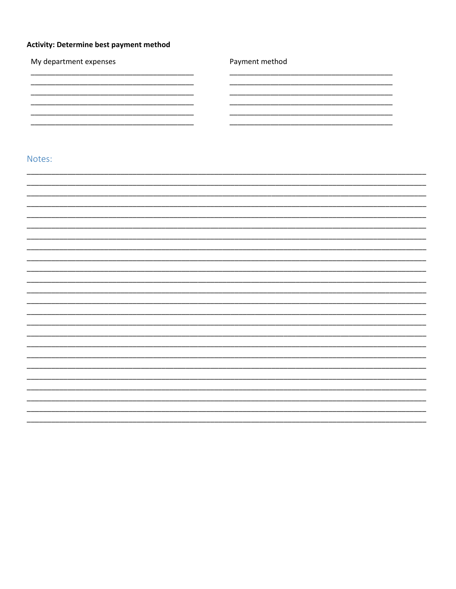### Activity: Determine best payment method

| My department expenses | Payment method |
|------------------------|----------------|
|                        |                |
|                        |                |
|                        |                |
|                        |                |
| Notes:                 |                |
|                        |                |
|                        |                |
|                        |                |
|                        |                |
|                        |                |
|                        |                |
|                        |                |
|                        |                |
|                        |                |
|                        |                |
|                        |                |
|                        |                |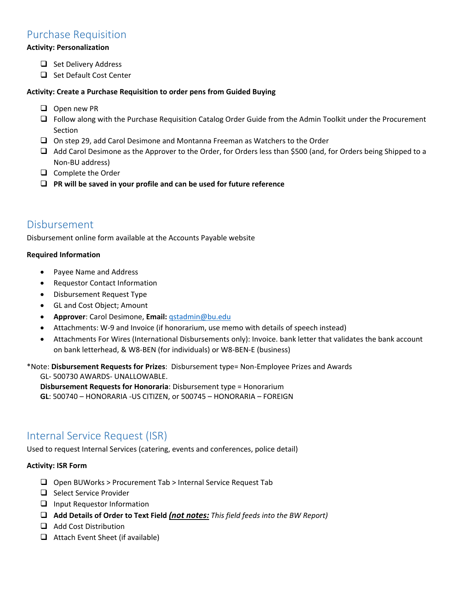# Purchase Requisition

#### **Activity: Personalization**

- ❑ Set Delivery Address
- ❑ Set Default Cost Center

#### **Activity: Create a Purchase Requisition to order pens from Guided Buying**

- ❑ Open new PR
- ❑ Follow along with the Purchase Requisition Catalog Order Guide from the Admin Toolkit under the Procurement Section
- ❑ On step 29, add Carol Desimone and Montanna Freeman as Watchers to the Order
- ❑ Add Carol Desimone as the Approver to the Order, for Orders less than \$500 (and, for Orders being Shipped to a Non-BU address)
- ❑ Complete the Order
- ❑ **PR will be saved in your profile and can be used for future reference**

## Disbursement

Disbursement online form available at the Accounts Payable website

#### **Required Information**

- Payee Name and Address
- Requestor Contact Information
- Disbursement Request Type
- GL and Cost Object; Amount
- **Approver**: Carol Desimone, **Email:** [qstadmin@bu.edu](mailto:qstadmin@bu.edu)
- Attachments: W-9 and Invoice (if honorarium, use memo with details of speech instead)
- Attachments For Wires (International Disbursements only): Invoice. bank letter that validates the bank account on bank letterhead, & W8-BEN (for individuals) or W8-BEN-E (business)

\*Note: **Disbursement Requests for Prizes**: Disbursement type= Non-Employee Prizes and Awards

GL- 500730 AWARDS- UNALLOWABLE. **Disbursement Requests for Honoraria**: Disbursement type = Honorarium **GL**: 500740 – HONORARIA -US CITIZEN, or 500745 – HONORARIA – FOREIGN

# Internal Service Request (ISR)

Used to request Internal Services (catering, events and conferences, police detail)

#### **Activity: ISR Form**

- ❑ Open BUWorks > Procurement Tab > Internal Service Request Tab
- ❑ Select Service Provider
- ❑ Input Requestor Information
- ❑ **Add Details of Order to Text Field** *(not notes: This field feeds into the BW Report)*
- ❑ Add Cost Distribution
- ❑ Attach Event Sheet (if available)